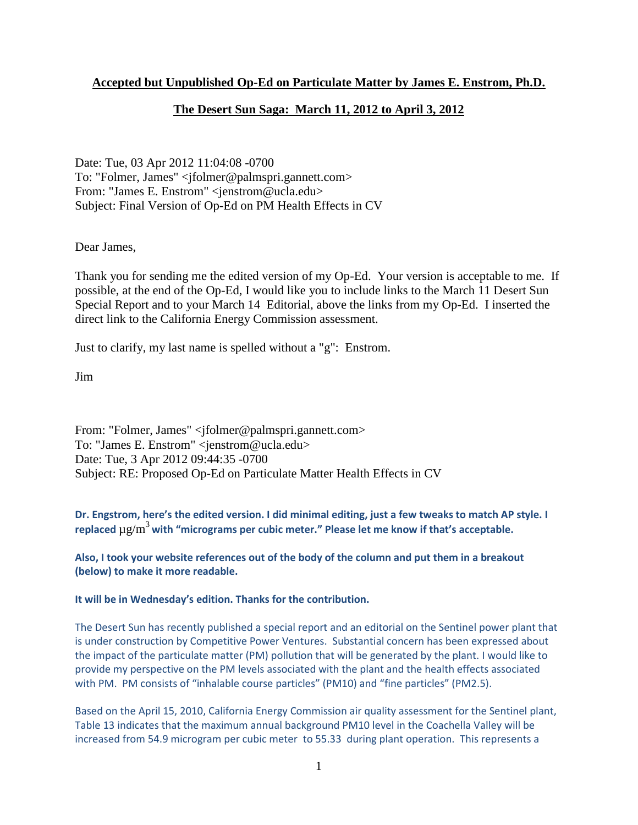#### **Accepted but Unpublished Op-Ed on Particulate Matter by James E. Enstrom, Ph.D.**

#### **The Desert Sun Saga: March 11, 2012 to April 3, 2012**

Date: Tue, 03 Apr 2012 11:04:08 -0700 To: "Folmer, James" <jfolmer@palmspri.gannett.com> From: "James E. Enstrom" <jenstrom@ucla.edu> Subject: Final Version of Op-Ed on PM Health Effects in CV

Dear James,

Thank you for sending me the edited version of my Op-Ed. Your version is acceptable to me. If possible, at the end of the Op-Ed, I would like you to include links to the March 11 Desert Sun Special Report and to your March 14 Editorial, above the links from my Op-Ed. I inserted the direct link to the California Energy Commission assessment.

Just to clarify, my last name is spelled without a "g": Enstrom.

Jim

From: "Folmer, James" <jfolmer@palmspri.gannett.com> To: "James E. Enstrom" <jenstrom@ucla.edu> Date: Tue, 3 Apr 2012 09:44:35 -0700 Subject: RE: Proposed Op-Ed on Particulate Matter Health Effects in CV

**Dr. Engstrom, here's the edited version. I did minimal editing, just a few tweaks to match AP style. I replaced** µg/m<sup>3</sup>**with "micrograms per cubic meter." Please let me know if that's acceptable.**

**Also, I took your website references out of the body of the column and put them in a breakout (below) to make it more readable.**

**It will be in Wednesday's edition. Thanks for the contribution.**

The Desert Sun has recently published a special report and an editorial on the Sentinel power plant that is under construction by Competitive Power Ventures. Substantial concern has been expressed about the impact of the particulate matter (PM) pollution that will be generated by the plant. I would like to provide my perspective on the PM levels associated with the plant and the health effects associated with PM. PM consists of "inhalable course particles" (PM10) and "fine particles" (PM2.5).

Based on the April 15, 2010, California Energy Commission air quality assessment for the Sentinel plant, Table 13 indicates that the maximum annual background PM10 level in the Coachella Valley will be increased from 54.9 microgram per cubic meter to 55.33 during plant operation. This represents a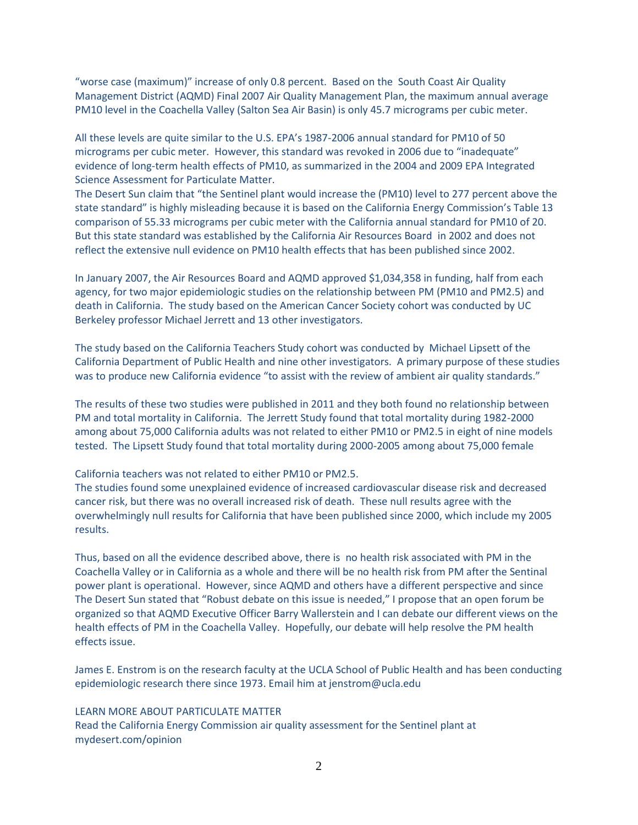"worse case (maximum)" increase of only 0.8 percent. Based on the South Coast Air Quality Management District (AQMD) Final 2007 Air Quality Management Plan, the maximum annual average PM10 level in the Coachella Valley (Salton Sea Air Basin) is only 45.7 micrograms per cubic meter.

All these levels are quite similar to the U.S. EPA's 1987-2006 annual standard for PM10 of 50 micrograms per cubic meter. However, this standard was revoked in 2006 due to "inadequate" evidence of long-term health effects of PM10, as summarized in the 2004 and 2009 EPA Integrated Science Assessment for Particulate Matter.

The Desert Sun claim that "the Sentinel plant would increase the (PM10) level to 277 percent above the state standard" is highly misleading because it is based on the California Energy Commission's Table 13 comparison of 55.33 micrograms per cubic meter with the California annual standard for PM10 of 20. But this state standard was established by the California Air Resources Board in 2002 and does not reflect the extensive null evidence on PM10 health effects that has been published since 2002.

In January 2007, the Air Resources Board and AQMD approved \$1,034,358 in funding, half from each agency, for two major epidemiologic studies on the relationship between PM (PM10 and PM2.5) and death in California. The study based on the American Cancer Society cohort was conducted by UC Berkeley professor Michael Jerrett and 13 other investigators.

The study based on the California Teachers Study cohort was conducted by Michael Lipsett of the California Department of Public Health and nine other investigators. A primary purpose of these studies was to produce new California evidence "to assist with the review of ambient air quality standards."

The results of these two studies were published in 2011 and they both found no relationship between PM and total mortality in California. The Jerrett Study found that total mortality during 1982-2000 among about 75,000 California adults was not related to either PM10 or PM2.5 in eight of nine models tested. The Lipsett Study found that total mortality during 2000-2005 among about 75,000 female

California teachers was not related to either PM10 or PM2.5.

The studies found some unexplained evidence of increased cardiovascular disease risk and decreased cancer risk, but there was no overall increased risk of death. These null results agree with the overwhelmingly null results for California that have been published since 2000, which include my 2005 results.

Thus, based on all the evidence described above, there is no health risk associated with PM in the Coachella Valley or in California as a whole and there will be no health risk from PM after the Sentinal power plant is operational. However, since AQMD and others have a different perspective and since The Desert Sun stated that "Robust debate on this issue is needed," I propose that an open forum be organized so that AQMD Executive Officer Barry Wallerstein and I can debate our different views on the health effects of PM in the Coachella Valley. Hopefully, our debate will help resolve the PM health effects issue.

James E. Enstrom is on the research faculty at the UCLA School of Public Health and has been conducting epidemiologic research there since 1973. Email him at jenstrom@ucla.edu

#### LEARN MORE ABOUT PARTICULATE MATTER

Read the California Energy Commission air quality assessment for the Sentinel plant at mydesert.com/opinion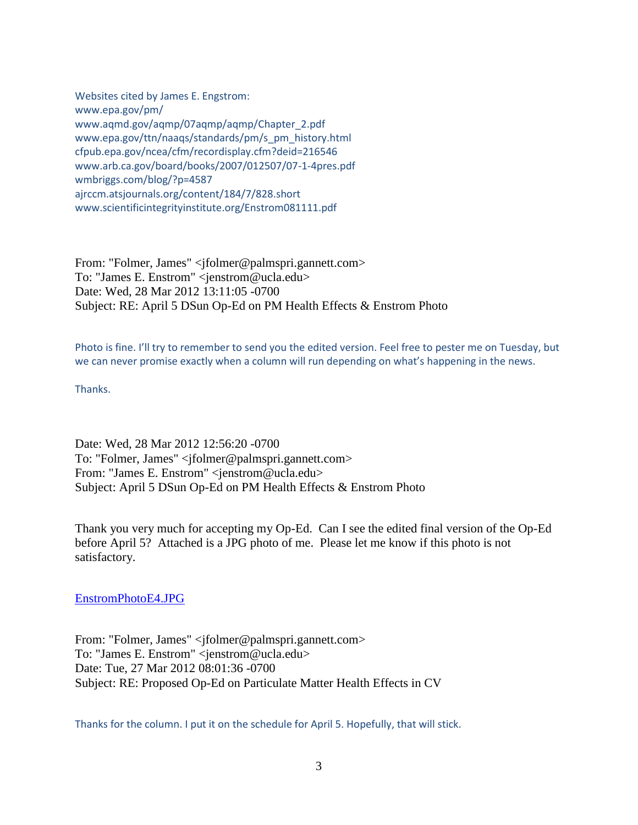Websites cited by James E. Engstrom: www.epa.gov/pm/ www.aqmd.gov/aqmp/07aqmp/aqmp/Chapter\_2.pdf www.epa.gov/ttn/naaqs/standards/pm/s\_pm\_history.html cfpub.epa.gov/ncea/cfm/recordisplay.cfm?deid=216546 www.arb.ca.gov/board/books/2007/012507/07-1-4pres.pdf wmbriggs.com/blog/?p=4587 ajrccm.atsjournals.org/content/184/7/828.short www.scientificintegrityinstitute.org/Enstrom081111.pdf

From: "Folmer, James" <jfolmer@palmspri.gannett.com> To: "James E. Enstrom" <jenstrom@ucla.edu> Date: Wed, 28 Mar 2012 13:11:05 -0700 Subject: RE: April 5 DSun Op-Ed on PM Health Effects & Enstrom Photo

Photo is fine. I'll try to remember to send you the edited version. Feel free to pester me on Tuesday, but we can never promise exactly when a column will run depending on what's happening in the news.

Thanks.

Date: Wed, 28 Mar 2012 12:56:20 -0700 To: "Folmer, James" <jfolmer@palmspri.gannett.com> From: "James E. Enstrom" <jenstrom@ucla.edu> Subject: April 5 DSun Op-Ed on PM Health Effects & Enstrom Photo

Thank you very much for accepting my Op-Ed. Can I see the edited final version of the Op-Ed before April 5? Attached is a JPG photo of me. Please let me know if this photo is not satisfactory.

[EnstromPhotoE4.JPG](../documents%20and%20settings/james%20enstrom/application%20data/qualcomm/eudora/attach/EnstromPhotoE4.JPG) 

From: "Folmer, James" <jfolmer@palmspri.gannett.com> To: "James E. Enstrom" <jenstrom@ucla.edu> Date: Tue, 27 Mar 2012 08:01:36 -0700 Subject: RE: Proposed Op-Ed on Particulate Matter Health Effects in CV

Thanks for the column. I put it on the schedule for April 5. Hopefully, that will stick.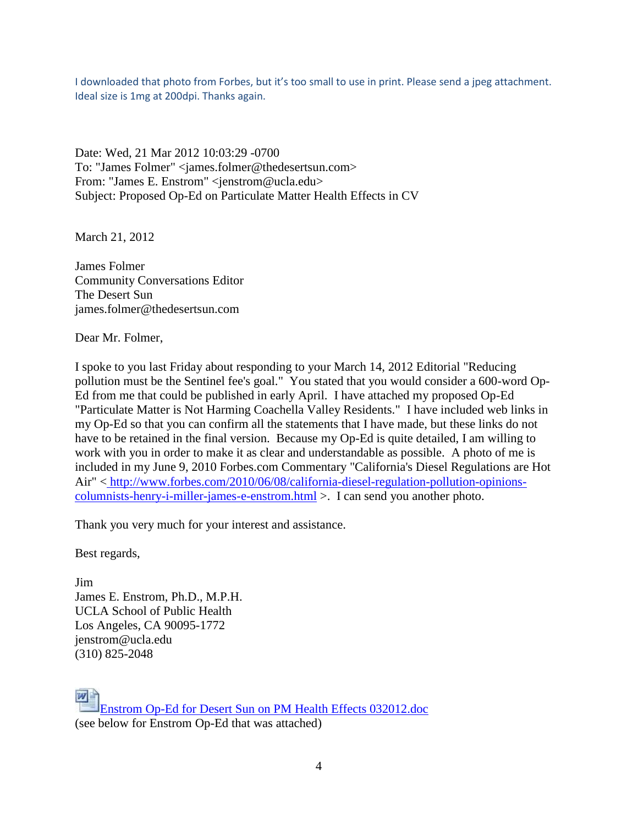I downloaded that photo from Forbes, but it's too small to use in print. Please send a jpeg attachment. Ideal size is 1mg at 200dpi. Thanks again.

Date: Wed, 21 Mar 2012 10:03:29 -0700 To: "James Folmer" <james.folmer@thedesertsun.com> From: "James E. Enstrom" <jenstrom@ucla.edu> Subject: Proposed Op-Ed on Particulate Matter Health Effects in CV

March 21, 2012

James Folmer Community Conversations Editor The Desert Sun james.folmer@thedesertsun.com

Dear Mr. Folmer,

I spoke to you last Friday about responding to your March 14, 2012 Editorial "Reducing pollution must be the Sentinel fee's goal." You stated that you would consider a 600-word Op-Ed from me that could be published in early April. I have attached my proposed Op-Ed "Particulate Matter is Not Harming Coachella Valley Residents." I have included web links in my Op-Ed so that you can confirm all the statements that I have made, but these links do not have to be retained in the final version. Because my Op-Ed is quite detailed, I am willing to work with you in order to make it as clear and understandable as possible. A photo of me is included in my June 9, 2010 Forbes.com Commentary "California's Diesel Regulations are Hot Air" < [http://www.forbes.com/2010/06/08/california-diesel-regulation-pollution-opinions](http://www.forbes.com/2010/06/08/california-diesel-regulation-pollution-opinions-columnists-henry-i-miller-james-e-enstrom.html)[columnists-henry-i-miller-james-e-enstrom.html](http://www.forbes.com/2010/06/08/california-diesel-regulation-pollution-opinions-columnists-henry-i-miller-james-e-enstrom.html) >. I can send you another photo.

Thank you very much for your interest and assistance.

Best regards,

Jim James E. Enstrom, Ph.D., M.P.H. UCLA School of Public Health Los Angeles, CA 90095-1772 jenstrom@ucla.edu (310) 825-2048

 $W$ [Enstrom Op-Ed for Desert Sun on PM Health Effects 032012.doc](../documents%20and%20settings/james%20enstrom/application%20data/qualcomm/eudora/attach/Enstrom%20Op-Ed%20for%20Desert%20Sun%20on%20PM%20Health%20Effects%20032012.doc) (see below for Enstrom Op-Ed that was attached)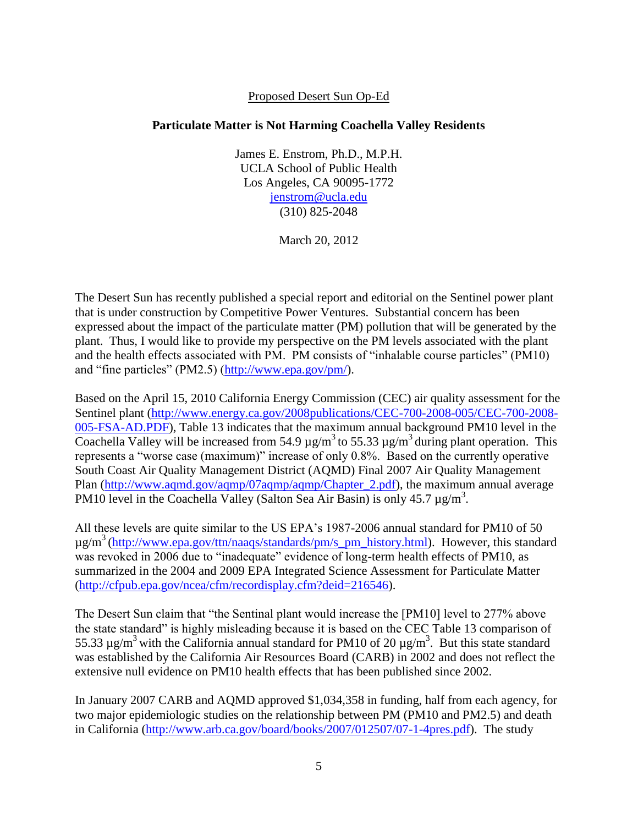#### Proposed Desert Sun Op-Ed

#### **Particulate Matter is Not Harming Coachella Valley Residents**

James E. Enstrom, Ph.D., M.P.H. UCLA School of Public Health Los Angeles, CA 90095-1772 [jenstrom@ucla.edu](mailto:jenstrom@ucla.edu) (310) 825-2048

March 20, 2012

The Desert Sun has recently published a special report and editorial on the Sentinel power plant that is under construction by Competitive Power Ventures. Substantial concern has been expressed about the impact of the particulate matter (PM) pollution that will be generated by the plant. Thus, I would like to provide my perspective on the PM levels associated with the plant and the health effects associated with PM. PM consists of "inhalable course particles" (PM10) and "fine particles" (PM2.5) [\(http://www.epa.gov/pm/\)](http://www.epa.gov/pm/).

Based on the April 15, 2010 California Energy Commission (CEC) air quality assessment for the Sentinel plant [\(http://www.energy.ca.gov/2008publications/CEC-700-2008-005/CEC-700-2008-](http://www.energy.ca.gov/2008publications/CEC-700-2008-005/CEC-700-2008-005-FSA-AD.PDF) [005-FSA-AD.PDF\)](http://www.energy.ca.gov/2008publications/CEC-700-2008-005/CEC-700-2008-005-FSA-AD.PDF), Table 13 indicates that the maximum annual background PM10 level in the Coachella Valley will be increased from 54.9  $\mu$ g/m<sup>3</sup> to 55.33  $\mu$ g/m<sup>3</sup> during plant operation. This represents a "worse case (maximum)" increase of only 0.8%. Based on the currently operative South Coast Air Quality Management District (AQMD) Final 2007 Air Quality Management Plan [\(http://www.aqmd.gov/aqmp/07aqmp/aqmp/Chapter\\_2.pdf\)](http://www.aqmd.gov/aqmp/07aqmp/aqmp/Chapter_2.pdf), the maximum annual average PM10 level in the Coachella Valley (Salton Sea Air Basin) is only 45.7 µg/m<sup>3</sup>.

All these levels are quite similar to the US EPA's 1987-2006 annual standard for PM10 of 50  $\mu$ g/m<sup>3</sup> [\(http://www.epa.gov/ttn/naaqs/standards/pm/s\\_pm\\_history.html\)](http://www.epa.gov/ttn/naaqs/standards/pm/s_pm_history.html). However, this standard was revoked in 2006 due to "inadequate" evidence of long-term health effects of PM10, as summarized in the 2004 and 2009 EPA Integrated Science Assessment for Particulate Matter [\(http://cfpub.epa.gov/ncea/cfm/recordisplay.cfm?deid=216546\)](http://cfpub.epa.gov/ncea/cfm/recordisplay.cfm?deid=216546).

The Desert Sun claim that "the Sentinal plant would increase the [PM10] level to 277% above the state standard" is highly misleading because it is based on the CEC Table 13 comparison of 55.33  $\mu$ g/m<sup>3</sup> with the California annual standard for PM10 of 20  $\mu$ g/m<sup>3</sup>. But this state standard was established by the California Air Resources Board (CARB) in 2002 and does not reflect the extensive null evidence on PM10 health effects that has been published since 2002.

In January 2007 CARB and AQMD approved \$1,034,358 in funding, half from each agency, for two major epidemiologic studies on the relationship between PM (PM10 and PM2.5) and death in California [\(http://www.arb.ca.gov/board/books/2007/012507/07-1-4pres.pdf\)](http://www.arb.ca.gov/board/books/2007/012507/07-1-4pres.pdf). The study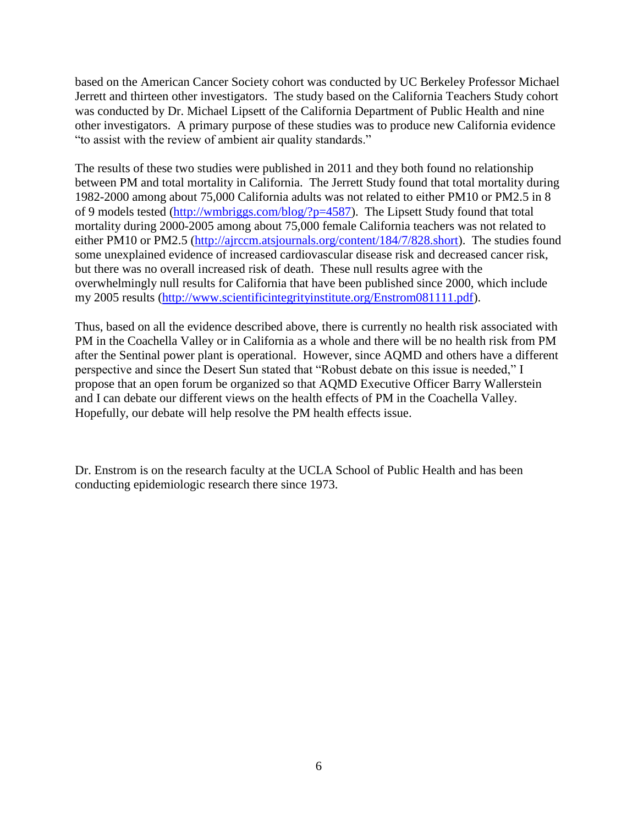based on the American Cancer Society cohort was conducted by UC Berkeley Professor Michael Jerrett and thirteen other investigators. The study based on the California Teachers Study cohort was conducted by Dr. Michael Lipsett of the California Department of Public Health and nine other investigators. A primary purpose of these studies was to produce new California evidence "to assist with the review of ambient air quality standards."

The results of these two studies were published in 2011 and they both found no relationship between PM and total mortality in California. The Jerrett Study found that total mortality during 1982-2000 among about 75,000 California adults was not related to either PM10 or PM2.5 in 8 of 9 models tested [\(http://wmbriggs.com/blog/?p=4587\)](http://wmbriggs.com/blog/?p=4587). The Lipsett Study found that total mortality during 2000-2005 among about 75,000 female California teachers was not related to either PM10 or PM2.5 [\(http://ajrccm.atsjournals.org/content/184/7/828.short\)](http://ajrccm.atsjournals.org/content/184/7/828.short). The studies found some unexplained evidence of increased cardiovascular disease risk and decreased cancer risk, but there was no overall increased risk of death. These null results agree with the overwhelmingly null results for California that have been published since 2000, which include my 2005 results [\(http://www.scientificintegrityinstitute.org/Enstrom081111.pdf\)](http://www.scientificintegrityinstitute.org/Enstrom081111.pdf).

Thus, based on all the evidence described above, there is currently no health risk associated with PM in the Coachella Valley or in California as a whole and there will be no health risk from PM after the Sentinal power plant is operational. However, since AQMD and others have a different perspective and since the Desert Sun stated that "Robust debate on this issue is needed," I propose that an open forum be organized so that AQMD Executive Officer Barry Wallerstein and I can debate our different views on the health effects of PM in the Coachella Valley. Hopefully, our debate will help resolve the PM health effects issue.

Dr. Enstrom is on the research faculty at the UCLA School of Public Health and has been conducting epidemiologic research there since 1973.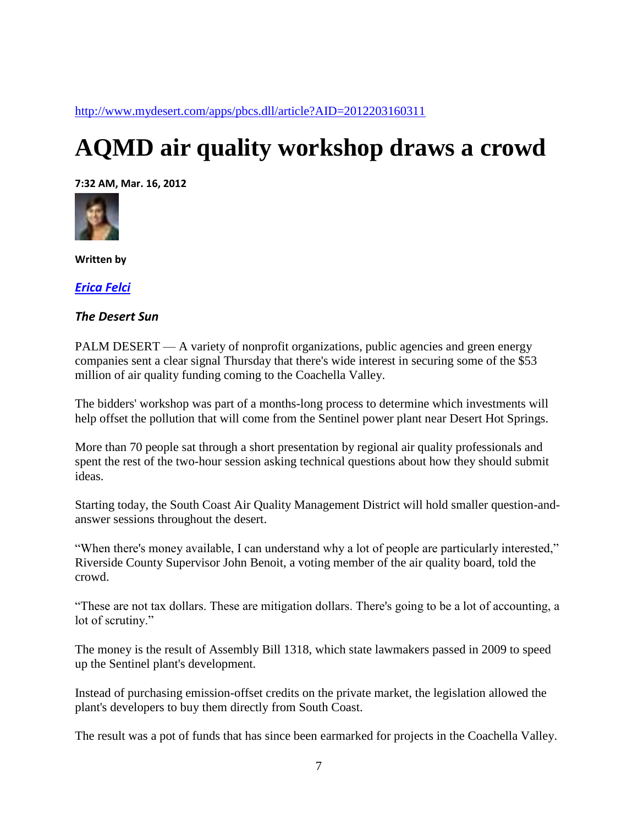<http://www.mydesert.com/apps/pbcs.dll/article?AID=2012203160311>

# **AQMD air quality workshop draws a crowd**

**7:32 AM, Mar. 16, 2012**



**Written by**

*[Erica Felci](mailto:erica.felci@thedesertsun.com)*

#### *The Desert Sun*

PALM DESERT — A variety of nonprofit organizations, public agencies and green energy companies sent a clear signal Thursday that there's wide interest in securing some of the \$53 million of air quality funding coming to the Coachella Valley.

The bidders' workshop was part of a months-long process to determine which investments will help offset the pollution that will come from the Sentinel power plant near Desert Hot Springs.

More than 70 people sat through a short presentation by regional air quality professionals and spent the rest of the two-hour session asking technical questions about how they should submit ideas.

Starting today, the South Coast Air Quality Management District will hold smaller question-andanswer sessions throughout the desert.

"When there's money available, I can understand why a lot of people are particularly interested," Riverside County Supervisor John Benoit, a voting member of the air quality board, told the crowd.

"These are not tax dollars. These are mitigation dollars. There's going to be a lot of accounting, a lot of scrutiny."

The money is the result of Assembly Bill 1318, which state lawmakers passed in 2009 to speed up the Sentinel plant's development.

Instead of purchasing emission-offset credits on the private market, the legislation allowed the plant's developers to buy them directly from South Coast.

The result was a pot of funds that has since been earmarked for projects in the Coachella Valley.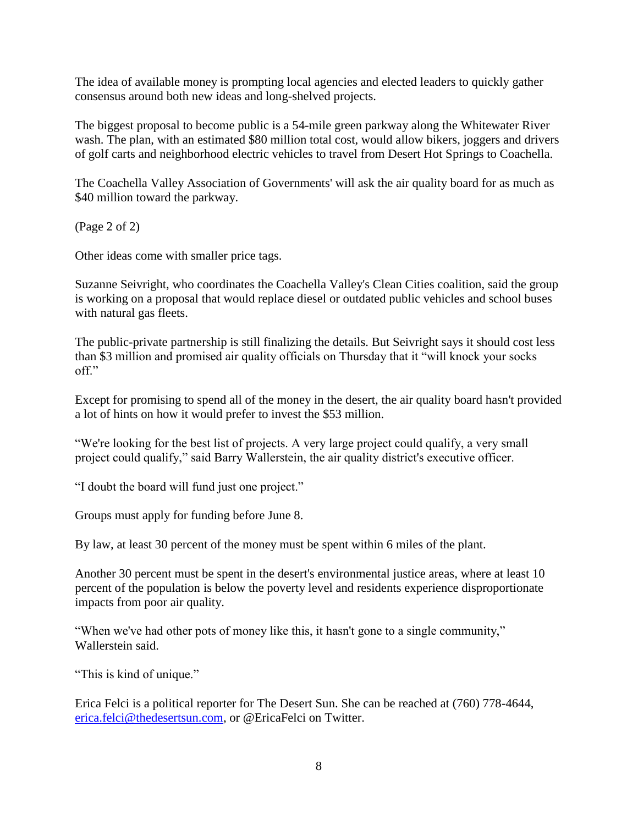The idea of available money is prompting local agencies and elected leaders to quickly gather consensus around both new ideas and long-shelved projects.

The biggest proposal to become public is a 54-mile green parkway along the Whitewater River wash. The plan, with an estimated \$80 million total cost, would allow bikers, joggers and drivers of golf carts and neighborhood electric vehicles to travel from Desert Hot Springs to Coachella.

The Coachella Valley Association of Governments' will ask the air quality board for as much as \$40 million toward the parkway.

(Page 2 of 2)

Other ideas come with smaller price tags.

Suzanne Seivright, who coordinates the Coachella Valley's Clean Cities coalition, said the group is working on a proposal that would replace diesel or outdated public vehicles and school buses with natural gas fleets.

The public-private partnership is still finalizing the details. But Seivright says it should cost less than \$3 million and promised air quality officials on Thursday that it "will knock your socks off"

Except for promising to spend all of the money in the desert, the air quality board hasn't provided a lot of hints on how it would prefer to invest the \$53 million.

"We're looking for the best list of projects. A very large project could qualify, a very small project could qualify," said Barry Wallerstein, the air quality district's executive officer.

"I doubt the board will fund just one project."

Groups must apply for funding before June 8.

By law, at least 30 percent of the money must be spent within 6 miles of the plant.

Another 30 percent must be spent in the desert's environmental justice areas, where at least 10 percent of the population is below the poverty level and residents experience disproportionate impacts from poor air quality.

"When we've had other pots of money like this, it hasn't gone to a single community," Wallerstein said.

"This is kind of unique."

Erica Felci is a political reporter for The Desert Sun. She can be reached at (760) 778-4644, [erica.felci@thedesertsun.com,](mailto:erica.felci@thedesertsun.com) or @EricaFelci on Twitter.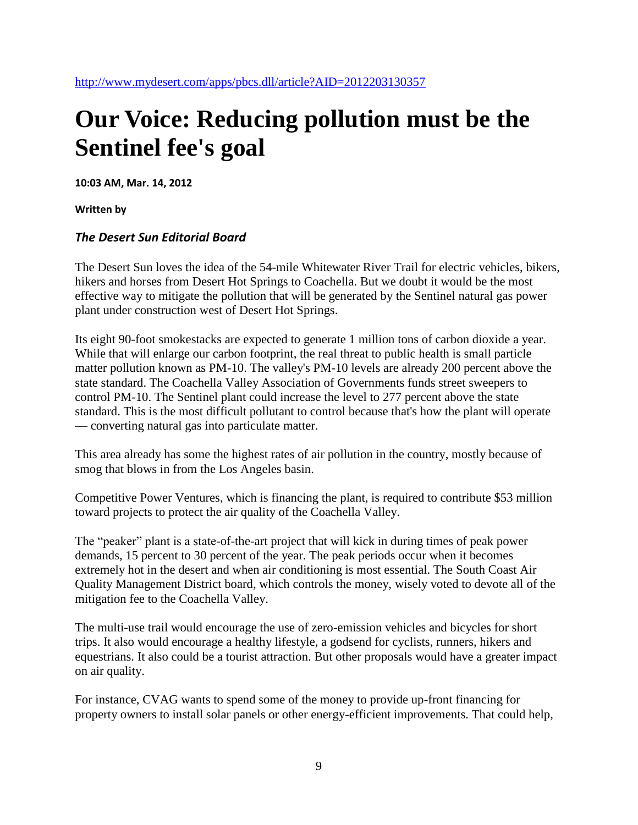# **Our Voice: Reducing pollution must be the Sentinel fee's goal**

**10:03 AM, Mar. 14, 2012**

**Written by**

#### *The Desert Sun Editorial Board*

The Desert Sun loves the idea of the 54-mile Whitewater River Trail for electric vehicles, bikers, hikers and horses from Desert Hot Springs to Coachella. But we doubt it would be the most effective way to mitigate the pollution that will be generated by the Sentinel natural gas power plant under construction west of Desert Hot Springs.

Its eight 90-foot smokestacks are expected to generate 1 million tons of carbon dioxide a year. While that will enlarge our carbon footprint, the real threat to public health is small particle matter pollution known as PM-10. The valley's PM-10 levels are already 200 percent above the state standard. The Coachella Valley Association of Governments funds street sweepers to control PM-10. The Sentinel plant could increase the level to 277 percent above the state standard. This is the most difficult pollutant to control because that's how the plant will operate — converting natural gas into particulate matter.

This area already has some the highest rates of air pollution in the country, mostly because of smog that blows in from the Los Angeles basin.

Competitive Power Ventures, which is financing the plant, is required to contribute \$53 million toward projects to protect the air quality of the Coachella Valley.

The "peaker" plant is a state-of-the-art project that will kick in during times of peak power demands, 15 percent to 30 percent of the year. The peak periods occur when it becomes extremely hot in the desert and when air conditioning is most essential. The South Coast Air Quality Management District board, which controls the money, wisely voted to devote all of the mitigation fee to the Coachella Valley.

The multi-use trail would encourage the use of zero-emission vehicles and bicycles for short trips. It also would encourage a healthy lifestyle, a godsend for cyclists, runners, hikers and equestrians. It also could be a tourist attraction. But other proposals would have a greater impact on air quality.

For instance, CVAG wants to spend some of the money to provide up-front financing for property owners to install solar panels or other energy-efficient improvements. That could help,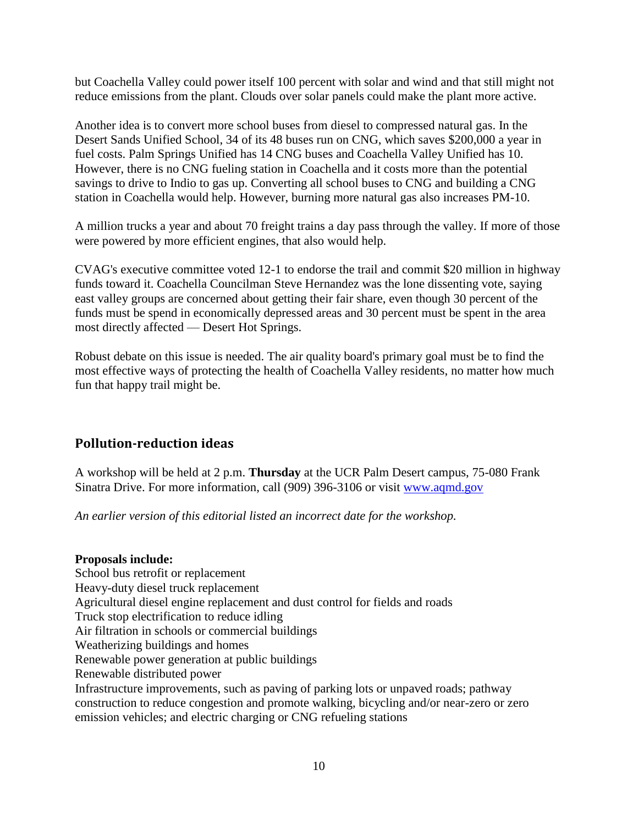but Coachella Valley could power itself 100 percent with solar and wind and that still might not reduce emissions from the plant. Clouds over solar panels could make the plant more active.

Another idea is to convert more school buses from diesel to compressed natural gas. In the Desert Sands Unified School, 34 of its 48 buses run on CNG, which saves \$200,000 a year in fuel costs. Palm Springs Unified has 14 CNG buses and Coachella Valley Unified has 10. However, there is no CNG fueling station in Coachella and it costs more than the potential savings to drive to Indio to gas up. Converting all school buses to CNG and building a CNG station in Coachella would help. However, burning more natural gas also increases PM-10.

A million trucks a year and about 70 freight trains a day pass through the valley. If more of those were powered by more efficient engines, that also would help.

CVAG's executive committee voted 12-1 to endorse the trail and commit \$20 million in highway funds toward it. Coachella Councilman Steve Hernandez was the lone dissenting vote, saying east valley groups are concerned about getting their fair share, even though 30 percent of the funds must be spend in economically depressed areas and 30 percent must be spent in the area most directly affected — Desert Hot Springs.

Robust debate on this issue is needed. The air quality board's primary goal must be to find the most effective ways of protecting the health of Coachella Valley residents, no matter how much fun that happy trail might be.

## **Pollution-reduction ideas**

A workshop will be held at 2 p.m. **Thursday** at the UCR Palm Desert campus, 75-080 Frank Sinatra Drive. For more information, call (909) 396-3106 or visit [www.aqmd.gov](http://www.aqmd.gov/)

*An earlier version of this editorial listed an incorrect date for the workshop.*

#### **Proposals include:**

School bus retrofit or replacement Heavy-duty diesel truck replacement Agricultural diesel engine replacement and dust control for fields and roads Truck stop electrification to reduce idling Air filtration in schools or commercial buildings Weatherizing buildings and homes Renewable power generation at public buildings Renewable distributed power Infrastructure improvements, such as paving of parking lots or unpaved roads; pathway construction to reduce congestion and promote walking, bicycling and/or near-zero or zero emission vehicles; and electric charging or CNG refueling stations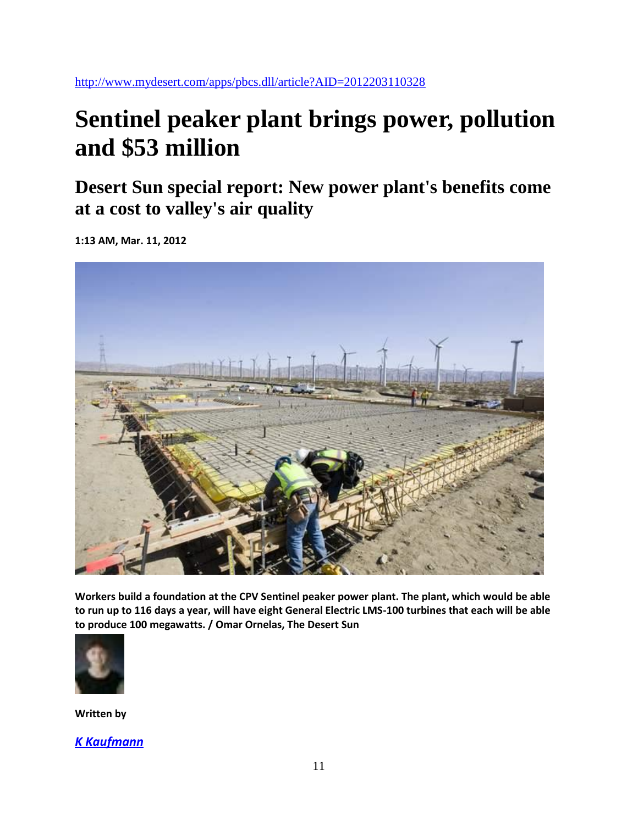<http://www.mydesert.com/apps/pbcs.dll/article?AID=2012203110328>

# **Sentinel peaker plant brings power, pollution and \$53 million**

**Desert Sun special report: New power plant's benefits come at a cost to valley's air quality**

**1:13 AM, Mar. 11, 2012**



**Workers build a foundation at the CPV Sentinel peaker power plant. The plant, which would be able to run up to 116 days a year, will have eight General Electric LMS-100 turbines that each will be able to produce 100 megawatts. / Omar Ornelas, The Desert Sun**



**Written by**

*K [Kaufmann](mailto:k.Kaufmann@thedesertsun.com)*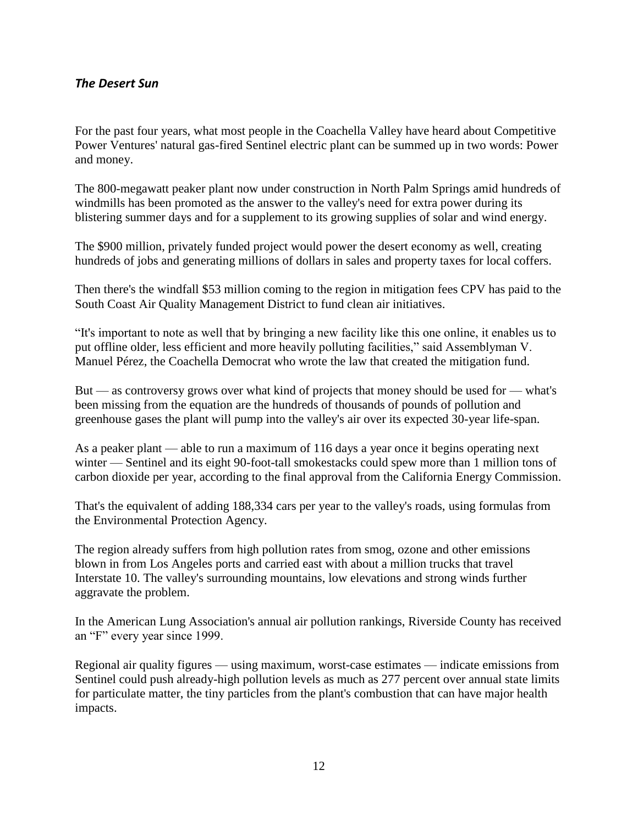#### *The Desert Sun*

For the past four years, what most people in the Coachella Valley have heard about Competitive Power Ventures' natural gas-fired Sentinel electric plant can be summed up in two words: Power and money.

The 800-megawatt peaker plant now under construction in North Palm Springs amid hundreds of windmills has been promoted as the answer to the valley's need for extra power during its blistering summer days and for a supplement to its growing supplies of solar and wind energy.

The \$900 million, privately funded project would power the desert economy as well, creating hundreds of jobs and generating millions of dollars in sales and property taxes for local coffers.

Then there's the windfall \$53 million coming to the region in mitigation fees CPV has paid to the South Coast Air Quality Management District to fund clean air initiatives.

"It's important to note as well that by bringing a new facility like this one online, it enables us to put offline older, less efficient and more heavily polluting facilities," said Assemblyman V. Manuel Pérez, the Coachella Democrat who wrote the law that created the mitigation fund.

But — as controversy grows over what kind of projects that money should be used for — what's been missing from the equation are the hundreds of thousands of pounds of pollution and greenhouse gases the plant will pump into the valley's air over its expected 30-year life-span.

As a peaker plant — able to run a maximum of 116 days a year once it begins operating next winter — Sentinel and its eight 90-foot-tall smokestacks could spew more than 1 million tons of carbon dioxide per year, according to the final approval from the California Energy Commission.

That's the equivalent of adding 188,334 cars per year to the valley's roads, using formulas from the Environmental Protection Agency.

The region already suffers from high pollution rates from smog, ozone and other emissions blown in from Los Angeles ports and carried east with about a million trucks that travel Interstate 10. The valley's surrounding mountains, low elevations and strong winds further aggravate the problem.

In the American Lung Association's annual air pollution rankings, Riverside County has received an "F" every year since 1999.

Regional air quality figures — using maximum, worst-case estimates — indicate emissions from Sentinel could push already-high pollution levels as much as 277 percent over annual state limits for particulate matter, the tiny particles from the plant's combustion that can have major health impacts.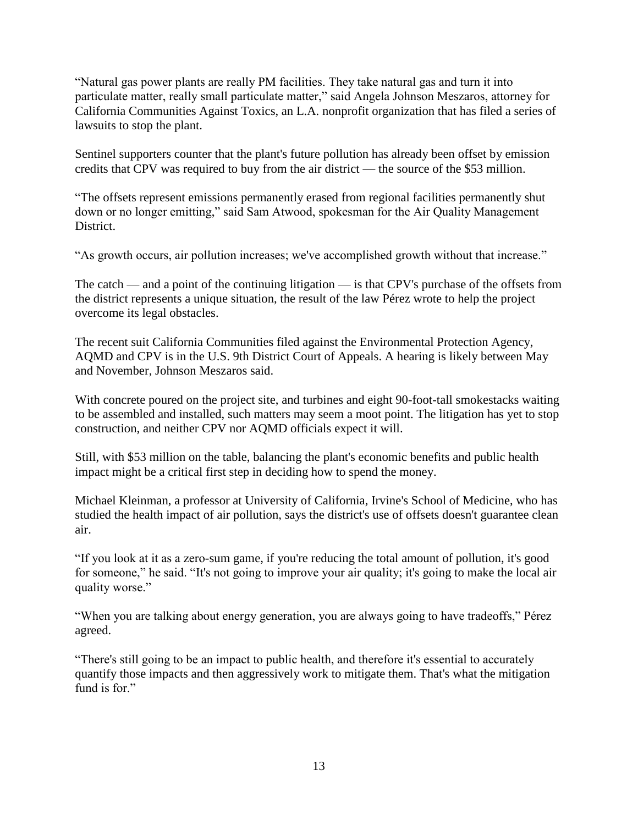"Natural gas power plants are really PM facilities. They take natural gas and turn it into particulate matter, really small particulate matter," said Angela Johnson Meszaros, attorney for California Communities Against Toxics, an L.A. nonprofit organization that has filed a series of lawsuits to stop the plant.

Sentinel supporters counter that the plant's future pollution has already been offset by emission credits that CPV was required to buy from the air district — the source of the \$53 million.

"The offsets represent emissions permanently erased from regional facilities permanently shut down or no longer emitting," said Sam Atwood, spokesman for the Air Quality Management District.

"As growth occurs, air pollution increases; we've accomplished growth without that increase."

The catch — and a point of the continuing litigation — is that CPV's purchase of the offsets from the district represents a unique situation, the result of the law Pérez wrote to help the project overcome its legal obstacles.

The recent suit California Communities filed against the Environmental Protection Agency, AQMD and CPV is in the U.S. 9th District Court of Appeals. A hearing is likely between May and November, Johnson Meszaros said.

With concrete poured on the project site, and turbines and eight 90-foot-tall smokestacks waiting to be assembled and installed, such matters may seem a moot point. The litigation has yet to stop construction, and neither CPV nor AQMD officials expect it will.

Still, with \$53 million on the table, balancing the plant's economic benefits and public health impact might be a critical first step in deciding how to spend the money.

Michael Kleinman, a professor at University of California, Irvine's School of Medicine, who has studied the health impact of air pollution, says the district's use of offsets doesn't guarantee clean air.

"If you look at it as a zero-sum game, if you're reducing the total amount of pollution, it's good for someone," he said. "It's not going to improve your air quality; it's going to make the local air quality worse."

"When you are talking about energy generation, you are always going to have tradeoffs," Pérez agreed.

"There's still going to be an impact to public health, and therefore it's essential to accurately quantify those impacts and then aggressively work to mitigate them. That's what the mitigation fund is for."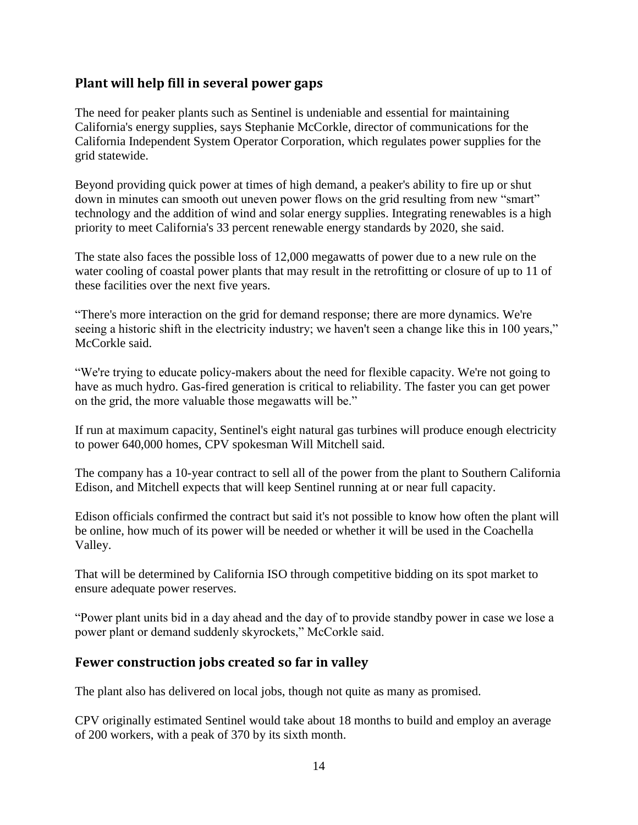### **Plant will help fill in several power gaps**

The need for peaker plants such as Sentinel is undeniable and essential for maintaining California's energy supplies, says Stephanie McCorkle, director of communications for the California Independent System Operator Corporation, which regulates power supplies for the grid statewide.

Beyond providing quick power at times of high demand, a peaker's ability to fire up or shut down in minutes can smooth out uneven power flows on the grid resulting from new "smart" technology and the addition of wind and solar energy supplies. Integrating renewables is a high priority to meet California's 33 percent renewable energy standards by 2020, she said.

The state also faces the possible loss of 12,000 megawatts of power due to a new rule on the water cooling of coastal power plants that may result in the retrofitting or closure of up to 11 of these facilities over the next five years.

"There's more interaction on the grid for demand response; there are more dynamics. We're seeing a historic shift in the electricity industry; we haven't seen a change like this in 100 years," McCorkle said.

"We're trying to educate policy-makers about the need for flexible capacity. We're not going to have as much hydro. Gas-fired generation is critical to reliability. The faster you can get power on the grid, the more valuable those megawatts will be."

If run at maximum capacity, Sentinel's eight natural gas turbines will produce enough electricity to power 640,000 homes, CPV spokesman Will Mitchell said.

The company has a 10-year contract to sell all of the power from the plant to Southern California Edison, and Mitchell expects that will keep Sentinel running at or near full capacity.

Edison officials confirmed the contract but said it's not possible to know how often the plant will be online, how much of its power will be needed or whether it will be used in the Coachella Valley.

That will be determined by California ISO through competitive bidding on its spot market to ensure adequate power reserves.

"Power plant units bid in a day ahead and the day of to provide standby power in case we lose a power plant or demand suddenly skyrockets," McCorkle said.

### **Fewer construction jobs created so far in valley**

The plant also has delivered on local jobs, though not quite as many as promised.

CPV originally estimated Sentinel would take about 18 months to build and employ an average of 200 workers, with a peak of 370 by its sixth month.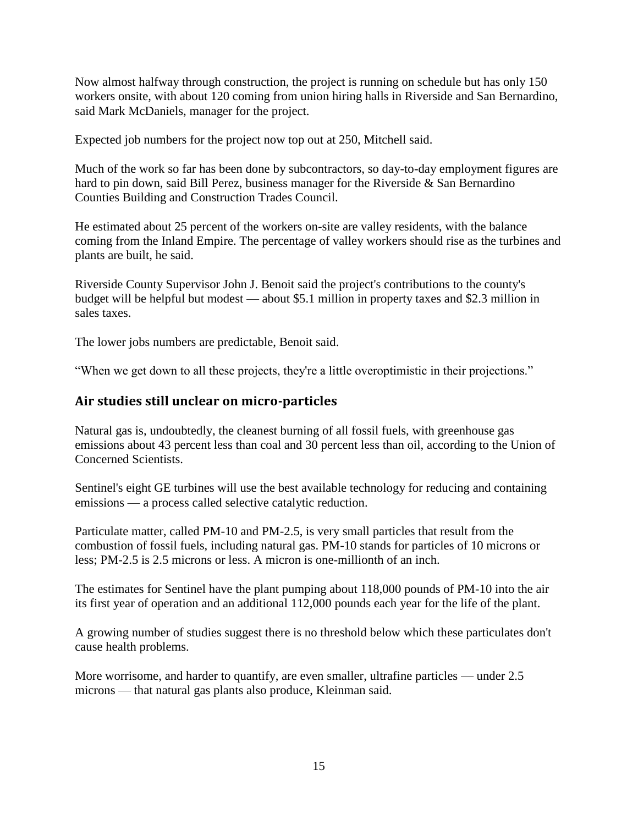Now almost halfway through construction, the project is running on schedule but has only 150 workers onsite, with about 120 coming from union hiring halls in Riverside and San Bernardino, said Mark McDaniels, manager for the project.

Expected job numbers for the project now top out at 250, Mitchell said.

Much of the work so far has been done by subcontractors, so day-to-day employment figures are hard to pin down, said Bill Perez, business manager for the Riverside & San Bernardino Counties Building and Construction Trades Council.

He estimated about 25 percent of the workers on-site are valley residents, with the balance coming from the Inland Empire. The percentage of valley workers should rise as the turbines and plants are built, he said.

Riverside County Supervisor John J. Benoit said the project's contributions to the county's budget will be helpful but modest — about \$5.1 million in property taxes and \$2.3 million in sales taxes.

The lower jobs numbers are predictable, Benoit said.

"When we get down to all these projects, they're a little overoptimistic in their projections."

### **Air studies still unclear on micro-particles**

Natural gas is, undoubtedly, the cleanest burning of all fossil fuels, with greenhouse gas emissions about 43 percent less than coal and 30 percent less than oil, according to the Union of Concerned Scientists.

Sentinel's eight GE turbines will use the best available technology for reducing and containing emissions — a process called selective catalytic reduction.

Particulate matter, called PM-10 and PM-2.5, is very small particles that result from the combustion of fossil fuels, including natural gas. PM-10 stands for particles of 10 microns or less; PM-2.5 is 2.5 microns or less. A micron is one-millionth of an inch.

The estimates for Sentinel have the plant pumping about 118,000 pounds of PM-10 into the air its first year of operation and an additional 112,000 pounds each year for the life of the plant.

A growing number of studies suggest there is no threshold below which these particulates don't cause health problems.

More worrisome, and harder to quantify, are even smaller, ultrafine particles — under 2.5 microns — that natural gas plants also produce, Kleinman said.